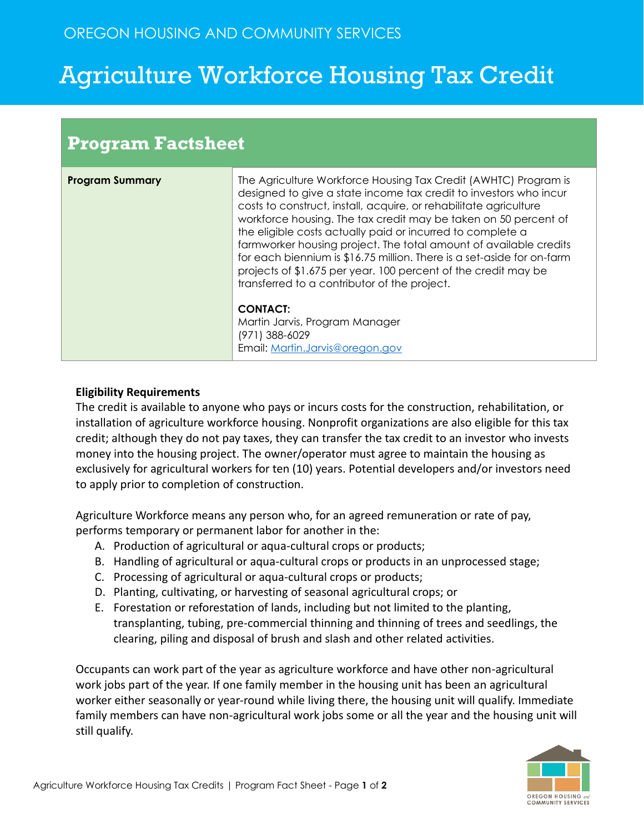## Agriculture Workforce Housing Tax Credit

| <b>Program Factsheet</b> |                                                                                                                                                                                                                                                                                                                                                                                                                                                                                                                                                                                                             |
|--------------------------|-------------------------------------------------------------------------------------------------------------------------------------------------------------------------------------------------------------------------------------------------------------------------------------------------------------------------------------------------------------------------------------------------------------------------------------------------------------------------------------------------------------------------------------------------------------------------------------------------------------|
| <b>Program Summary</b>   | The Agriculture Workforce Housing Tax Credit (AWHTC) Program is<br>designed to give a state income tax credit to investors who incur<br>costs to construct, install, acquire, or rehabilitate agriculture<br>workforce housing. The tax credit may be taken on 50 percent of<br>the eligible costs actually paid or incurred to complete a<br>farmworker housing project. The total amount of available credits<br>for each biennium is \$16.75 million. There is a set-aside for on-farm<br>projects of \$1.675 per year. 100 percent of the credit may be<br>transferred to a contributor of the project. |
|                          | <b>CONTACT:</b><br>Martin Jarvis, Program Manager<br>(971) 388-6029<br>Email: Martin.Jarvis@oregon.gov                                                                                                                                                                                                                                                                                                                                                                                                                                                                                                      |

## **Eligibility Requirements**

The credit is available to anyone who pays or incurs costs for the construction, rehabilitation, or installation of agriculture workforce housing. Nonprofit organizations are also eligible for this tax credit; although they do not pay taxes, they can transfer the tax credit to an investor who invests money into the housing project. The owner/operator must agree to maintain the housing as exclusively for agricultural workers for ten (10) years. Potential developers and/or investors need to apply prior to completion of construction.

Agriculture Workforce means any person who, for an agreed remuneration or rate of pay, performs temporary or permanent labor for another in the:

- A. Production of agricultural or aqua-cultural crops or products;
- B. Handling of agricultural or aqua-cultural crops or products in an unprocessed stage;
- C. Processing of agricultural or aqua-cultural crops or products;
- D. Planting, cultivating, or harvesting of seasonal agricultural crops; or
- E. Forestation or reforestation of lands, including but not limited to the planting, transplanting, tubing, pre-commercial thinning and thinning of trees and seedlings, the clearing, piling and disposal of brush and slash and other related activities.

Occupants can work part of the year as agriculture workforce and have other non-agricultural work jobs part of the year. If one family member in the housing unit has been an agricultural worker either seasonally or year-round while living there, the housing unit will qualify. Immediate family members can have non-agricultural work jobs some or all the year and the housing unit will still qualify.